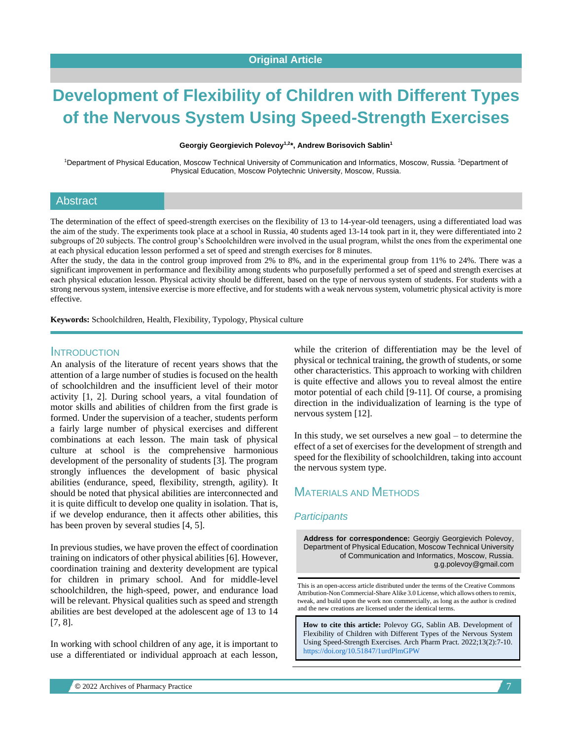# **Development of Flexibility of Children with Different Types of the Nervous System Using Speed-Strength Exercises**

**Georgiy Georgievich Polevoy 1,2\*, Andrew Borisovich Sablin<sup>1</sup>**

<sup>1</sup>Department of Physical Education, Moscow Technical University of Communication and Informatics, Moscow, Russia. <sup>2</sup>Department of Physical Education, Moscow Polytechnic University, Moscow, Russia.

#### Abstract

The determination of the effect of speed-strength exercises on the flexibility of 13 to 14-year-old teenagers, using a differentiated load was the aim of the study. The experiments took place at a school in Russia, 40 students aged 13-14 took part in it, they were differentiated into 2 subgroups of 20 subjects. The control group's Schoolchildren were involved in the usual program, whilst the ones from the experimental one at each physical education lesson performed a set of speed and strength exercises for 8 minutes.

After the study, the data in the control group improved from 2% to 8%, and in the experimental group from 11% to 24%. There was a significant improvement in performance and flexibility among students who purposefully performed a set of speed and strength exercises at each physical education lesson. Physical activity should be different, based on the type of nervous system of students. For students with a strong nervous system, intensive exercise is more effective, and for students with a weak nervous system, volumetric physical activity is more effective.

**Keywords:** Schoolchildren, Health, Flexibility, Typology, Physical culture

#### **INTRODUCTION**

An analysis of the literature of recent years shows that the attention of a large number of studies is focused on the health of schoolchildren and the insufficient level of their motor activity [1, 2]. During school years, a vital foundation of motor skills and abilities of children from the first grade is formed. Under the supervision of a teacher, students perform a fairly large number of physical exercises and different combinations at each lesson. The main task of physical culture at school is the comprehensive harmonious development of the personality of students [3]. The program strongly influences the development of basic physical abilities (endurance, speed, flexibility, strength, agility). It should be noted that physical abilities are interconnected and it is quite difficult to develop one quality in isolation. That is, if we develop endurance, then it affects other abilities, this has been proven by several studies [4, 5].

In previous studies, we have proven the effect of coordination training on indicators of other physical abilities [6]. However, coordination training and dexterity development are typical for children in primary school. And for middle-level schoolchildren, the high-speed, power, and endurance load will be relevant. Physical qualities such as speed and strength abilities are best developed at the adolescent age of 13 to 14 [7, 8].

In working with school children of any age, it is important to use a differentiated or individual approach at each lesson,

while the criterion of differentiation may be the level of physical or technical training, the growth of students, or some other characteristics. This approach to working with children is quite effective and allows you to reveal almost the entire motor potential of each child [9-11]. Of course, a promising direction in the individualization of learning is the type of nervous system [12].

In this study, we set ourselves a new goal  $-$  to determine the effect of a set of exercises for the development of strength and speed for the flexibility of schoolchildren, taking into account the nervous system type.

## MATERIALS AND METHODS

#### *Participants*

**Address for correspondence:** Georgiy Georgievich Polevoy, Department of Physical Education, Moscow Technical University of Communication and Informatics, Moscow, Russia. g.g.polevoy@gmail.com

This is an open-access article distributed under the terms of the Creative Commons Attribution-Non Commercial-Share Alike 3.0 License, which allows others to remix, tweak, and build upon the work non commercially, as long as the author is credited and the new creations are licensed under the identical terms.

**How to cite this article:** Polevoy GG, Sablin AB*.* Development of Flexibility of Children with Different Types of the Nervous System Using Speed-Strength Exercises. Arch Pharm Pract. 2022;13(2):7-10. <https://doi.org/10.51847/1urdPlmGPW>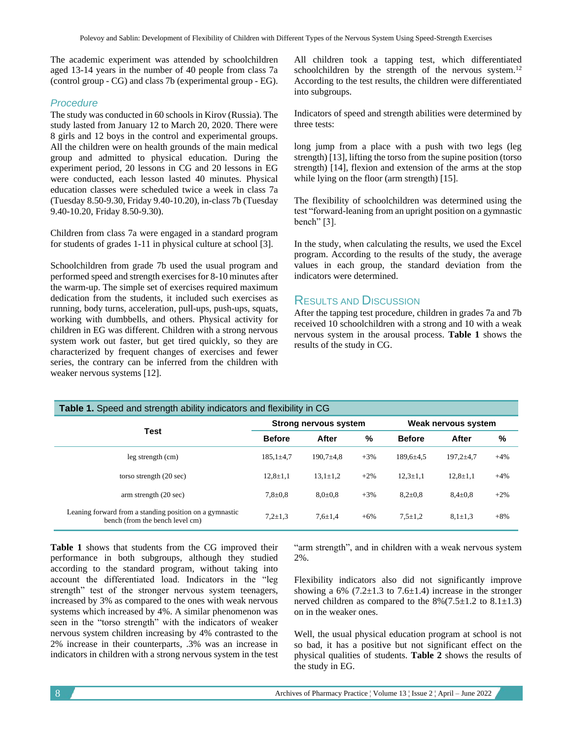The academic experiment was attended by schoolchildren aged 13-14 years in the number of 40 people from class 7a (control group - CG) and class 7b (experimental group - EG).

#### *Procedure*

The study was conducted in 60 schools in Kirov (Russia). The study lasted from January 12 to March 20, 2020. There were 8 girls and 12 boys in the control and experimental groups. All the children were on health grounds of the main medical group and admitted to physical education. During the experiment period, 20 lessons in CG and 20 lessons in EG were conducted, each lesson lasted 40 minutes. Physical education classes were scheduled twice a week in class 7a (Tuesday 8.50-9.30, Friday 9.40-10.20), in-class 7b (Tuesday 9.40-10.20, Friday 8.50-9.30).

Children from class 7a were engaged in a standard program for students of grades 1-11 in physical culture at school [3].

Schoolchildren from grade 7b used the usual program and performed speed and strength exercises for 8-10 minutes after the warm-up. The simple set of exercises required maximum dedication from the students, it included such exercises as running, body turns, acceleration, pull-ups, push-ups, squats, working with dumbbells, and others. Physical activity for children in EG was different. Children with a strong nervous system work out faster, but get tired quickly, so they are characterized by frequent changes of exercises and fewer series, the contrary can be inferred from the children with weaker nervous systems [12].

All children took a tapping test, which differentiated schoolchildren by the strength of the nervous system.<sup>12</sup> According to the test results, the children were differentiated into subgroups.

Indicators of speed and strength abilities were determined by three tests:

long jump from a place with a push with two legs (leg strength) [13], lifting the torso from the supine position (torso strength) [14], flexion and extension of the arms at the stop while lying on the floor (arm strength) [15].

The flexibility of schoolchildren was determined using the test "forward-leaning from an upright position on a gymnastic bench" [3].

In the study, when calculating the results, we used the Excel program. According to the results of the study, the average values in each group, the standard deviation from the indicators were determined.

### RESULTS AND DISCUSSION

After the tapping test procedure, children in grades 7a and 7b received 10 schoolchildren with a strong and 10 with a weak nervous system in the arousal process. **Table 1** shows the results of the study in CG.

| Table 1. Speed and strength ability indicators and flexibility in CG                       |                 |                              |        |                     |                 |       |  |  |  |  |
|--------------------------------------------------------------------------------------------|-----------------|------------------------------|--------|---------------------|-----------------|-------|--|--|--|--|
| Test                                                                                       |                 | <b>Strong nervous system</b> |        | Weak nervous system |                 |       |  |  |  |  |
|                                                                                            | <b>Before</b>   | After                        | %      | <b>Before</b>       | After           | %     |  |  |  |  |
| leg strength (cm)                                                                          | $185,1 \pm 4.7$ | $190.7 + 4.8$                | $+3%$  | $189.6 \pm 4.5$     | $197,2{\pm}4.7$ | $+4%$ |  |  |  |  |
| torso strength (20 sec)                                                                    | $12,8 \pm 1,1$  | $13.1 \pm 1.2$               | $+2\%$ | $12.3 \pm 1.1$      | $12.8 \pm 1.1$  | $+4%$ |  |  |  |  |
| arm strength (20 sec)                                                                      | $7,8{\pm}0.8$   | $8.0{\pm}0.8$                | $+3%$  | $8.2 \pm 0.8$       | $8.4 \pm 0.8$   | $+2%$ |  |  |  |  |
| Leaning forward from a standing position on a gymnastic<br>bench (from the bench level cm) | $7.2 \pm 1.3$   | $7.6 \pm 1.4$                | $+6%$  | $7,5 \pm 1,2$       | $8.1 \pm 1.3$   | $+8%$ |  |  |  |  |

**Table 1** shows that students from the CG improved their performance in both subgroups, although they studied according to the standard program, without taking into account the differentiated load. Indicators in the "leg strength" test of the stronger nervous system teenagers, increased by 3% as compared to the ones with weak nervous systems which increased by 4%. A similar phenomenon was seen in the "torso strength" with the indicators of weaker nervous system children increasing by 4% contrasted to the 2% increase in their counterparts, .3% was an increase in indicators in children with a strong nervous system in the test

"arm strength", and in children with a weak nervous system 2%.

Flexibility indicators also did not significantly improve showing a 6% (7.2 $\pm$ 1.3 to 7.6 $\pm$ 1.4) increase in the stronger nerved children as compared to the  $8\frac{6}{7.5 \pm 1.2}$  to  $8.1 \pm 1.3$ ) on in the weaker ones.

Well, the usual physical education program at school is not so bad, it has a positive but not significant effect on the physical qualities of students. **Table 2** shows the results of the study in EG.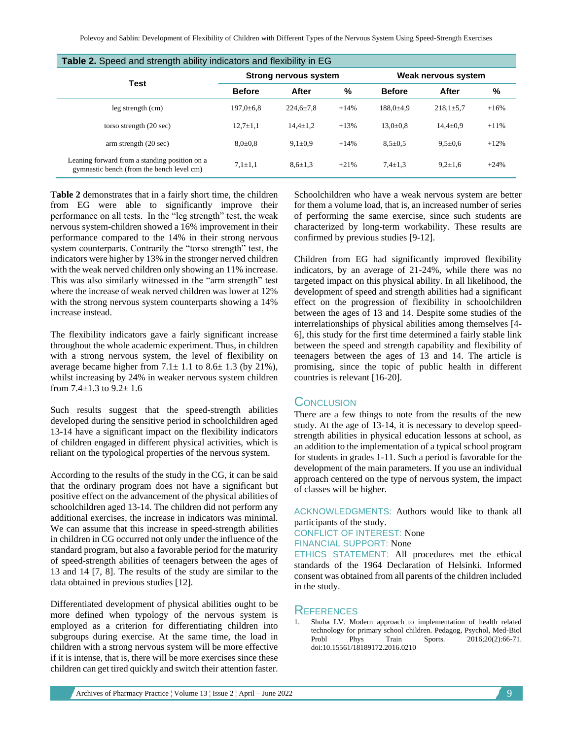| Table 2. Speed and strength ability indicators and flexibility in EG                       |                              |                 |        |                     |                 |        |  |  |  |  |
|--------------------------------------------------------------------------------------------|------------------------------|-----------------|--------|---------------------|-----------------|--------|--|--|--|--|
| Test                                                                                       | <b>Strong nervous system</b> |                 |        | Weak nervous system |                 |        |  |  |  |  |
|                                                                                            | <b>Before</b>                | After           | %      | <b>Before</b>       | After           | %      |  |  |  |  |
| leg strength (cm)                                                                          | $197,0{\pm}6.8$              | $224.6 \pm 7.8$ | $+14%$ | $188.0{\pm}4.9$     | $218,1 \pm 5.7$ | $+16%$ |  |  |  |  |
| torso strength (20 sec)                                                                    | $12,7{\pm}1,1$               | $14,4 \pm 1,2$  | $+13%$ | $13.0 \pm 0.8$      | $14.4 \pm 0.9$  | $+11%$ |  |  |  |  |
| arm strength (20 sec)                                                                      | $8.0{\pm}0.8$                | $9,1\pm0.9$     | $+14%$ | $8.5 \pm 0.5$       | $9.5 \pm 0.6$   | $+12%$ |  |  |  |  |
| Leaning forward from a standing position on a<br>gymnastic bench (from the bench level cm) | $7.1 \pm 1.1$                | $8,6{\pm}1,3$   | $+21%$ | $7.4 \pm 1.3$       | $9.2 \pm 1.6$   | $+24%$ |  |  |  |  |

**Table 2** demonstrates that in a fairly short time, the children from EG were able to significantly improve their performance on all tests. In the "leg strength" test, the weak nervous system-children showed a 16% improvement in their performance compared to the 14% in their strong nervous system counterparts. Contrarily the "torso strength" test, the indicators were higher by 13% in the stronger nerved children with the weak nerved children only showing an  $11\%$  increase. This was also similarly witnessed in the "arm strength" test where the increase of weak nerved children was lower at 12% with the strong nervous system counterparts showing a 14% increase instead.

The flexibility indicators gave a fairly significant increase throughout the whole academic experiment. Thus, in children with a strong nervous system, the level of flexibility on average became higher from  $7.1 \pm 1.1$  to  $8.6 \pm 1.3$  (by 21%), whilst increasing by 24% in weaker nervous system children from  $7.4 \pm 1.3$  to  $9.2 \pm 1.6$ 

Such results suggest that the speed-strength abilities developed during the sensitive period in schoolchildren aged 13-14 have a significant impact on the flexibility indicators of children engaged in different physical activities, which is reliant on the typological properties of the nervous system.

According to the results of the study in the CG, it can be said that the ordinary program does not have a significant but positive effect on the advancement of the physical abilities of schoolchildren aged 13-14. The children did not perform any additional exercises, the increase in indicators was minimal. We can assume that this increase in speed-strength abilities in children in CG occurred not only under the influence of the standard program, but also a favorable period for the maturity of speed-strength abilities of teenagers between the ages of 13 and 14 [7, 8]. The results of the study are similar to the data obtained in previous studies [12].

Differentiated development of physical abilities ought to be more defined when typology of the nervous system is employed as a criterion for differentiating children into subgroups during exercise. At the same time, the load in children with a strong nervous system will be more effective if it is intense, that is, there will be more exercises since these children can get tired quickly and switch their attention faster.

Schoolchildren who have a weak nervous system are better for them a volume load, that is, an increased number of series of performing the same exercise, since such students are characterized by long-term workability. These results are confirmed by previous studies [9-12].

Children from EG had significantly improved flexibility indicators, by an average of 21-24%, while there was no targeted impact on this physical ability. In all likelihood, the development of speed and strength abilities had a significant effect on the progression of flexibility in schoolchildren between the ages of 13 and 14. Despite some studies of the interrelationships of physical abilities among themselves [4- 6], this study for the first time determined a fairly stable link between the speed and strength capability and flexibility of teenagers between the ages of 13 and 14. The article is promising, since the topic of public health in different countries is relevant [16-20].

#### **CONCLUSION**

There are a few things to note from the results of the new study. At the age of 13-14, it is necessary to develop speedstrength abilities in physical education lessons at school, as an addition to the implementation of a typical school program for students in grades 1-11. Such a period is favorable for the development of the main parameters. If you use an individual approach centered on the type of nervous system, the impact of classes will be higher.

ACKNOWLEDGMENTS: Authors would like to thank all participants of the study. CONFLICT OF INTEREST: None FINANCIAL SUPPORT: None ETHICS STATEMENT: All procedures met the ethical

standards of the 1964 Declaration of Helsinki. Informed consent was obtained from all parents of the children included in the study.

## **REFERENCES**

1. Shuba LV. Modern approach to implementation of health related technology for primary school children. Pedagog, Psychol, Med-Biol Probl Phys Train Sports. 2016;20(2):66-71. doi:10.15561/18189172.2016.0210